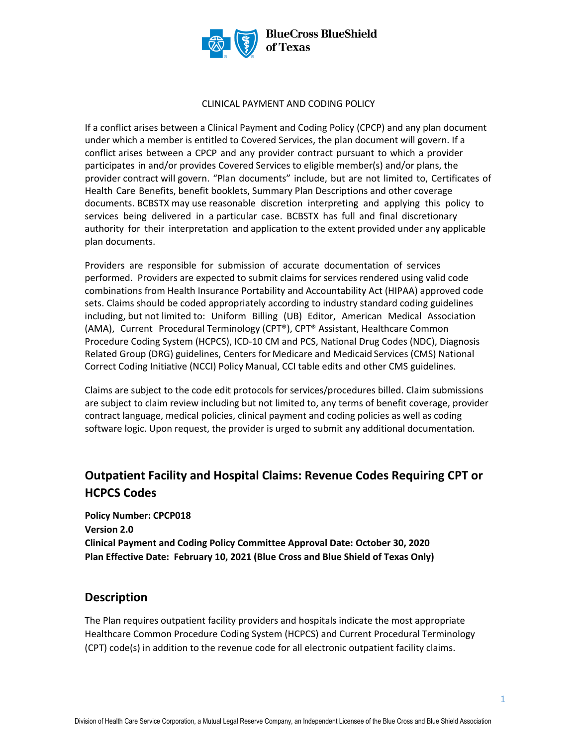

### CLINICAL PAYMENT AND CODING POLICY

If a conflict arises between a Clinical Payment and Coding Policy (CPCP) and any plan document under which a member is entitled to Covered Services, the plan document will govern. If a conflict arises between a CPCP and any provider contract pursuant to which a provider participates in and/or provides Covered Services to eligible member(s) and/or plans, the provider contract will govern. "Plan documents" include, but are not limited to, Certificates of Health Care Benefits, benefit booklets, Summary Plan Descriptions and other coverage documents. BCBSTX may use reasonable discretion interpreting and applying this policy to services being delivered in a particular case. BCBSTX has full and final discretionary authority for their interpretation and application to the extent provided under any applicable plan documents.

Providers are responsible for submission of accurate documentation of services performed. Providers are expected to submit claims for services rendered using valid code combinations from Health Insurance Portability and Accountability Act (HIPAA) approved code sets. Claims should be coded appropriately according to industry standard coding guidelines including, but not limited to: Uniform Billing (UB) Editor, American Medical Association (AMA), Current Procedural Terminology (CPT®), CPT® Assistant, Healthcare Common Procedure Coding System (HCPCS), ICD-10 CM and PCS, National Drug Codes (NDC), Diagnosis Related Group (DRG) guidelines, Centers for Medicare and Medicaid Services (CMS) National Correct Coding Initiative (NCCI) Policy Manual, CCI table edits and other CMS guidelines.

Claims are subject to the code edit protocols for services/procedures billed. Claim submissions are subject to claim review including but not limited to, any terms of benefit coverage, provider contract language, medical policies, clinical payment and coding policies as well as coding software logic. Upon request, the provider is urged to submit any additional documentation.

## **Outpatient Facility and Hospital Claims: Revenue Codes Requiring CPT or HCPCS Codes**

**Policy Number: CPCP018 Version 2.0 Clinical Payment and Coding Policy Committee Approval Date: October 30, 2020 Plan Effective Date: February 10, 2021 (Blue Cross and Blue Shield of Texas Only)** 

### **Description**

The Plan requires outpatient facility providers and hospitals indicate the most appropriate Healthcare Common Procedure Coding System (HCPCS) and Current Procedural Terminology (CPT) code(s) in addition to the revenue code for all electronic outpatient facility claims.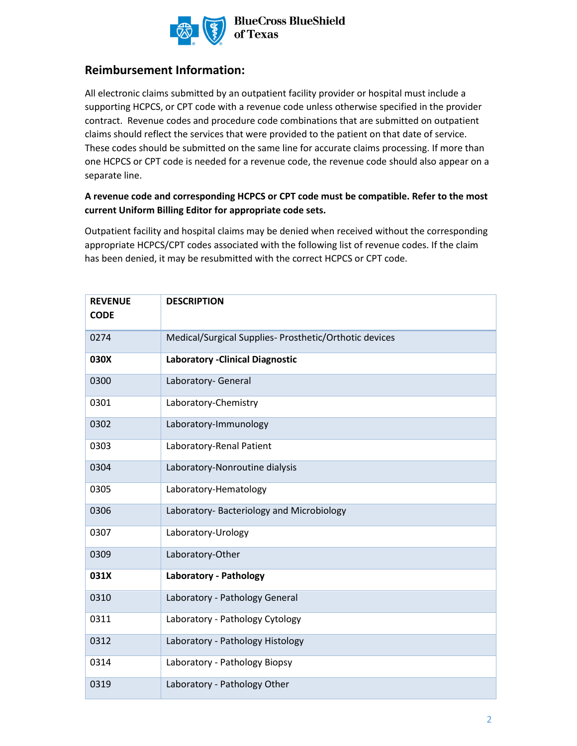

### **Reimbursement Information:**

All electronic claims submitted by an outpatient facility provider or hospital must include a supporting HCPCS, or CPT code with a revenue code unless otherwise specified in the provider contract. Revenue codes and procedure code combinations that are submitted on outpatient claims should reflect the services that were provided to the patient on that date of service. These codes should be submitted on the same line for accurate claims processing. If more than one HCPCS or CPT code is needed for a revenue code, the revenue code should also appear on a separate line.

### **A revenue code and corresponding HCPCS or CPT code must be compatible. Refer to the most current Uniform Billing Editor for appropriate code sets.**

Outpatient facility and hospital claims may be denied when received without the corresponding appropriate HCPCS/CPT codes associated with the following list of revenue codes. If the claim has been denied, it may be resubmitted with the correct HCPCS or CPT code.

| <b>REVENUE</b><br><b>CODE</b> | <b>DESCRIPTION</b>                                     |
|-------------------------------|--------------------------------------------------------|
| 0274                          | Medical/Surgical Supplies- Prosthetic/Orthotic devices |
| 030X                          | <b>Laboratory - Clinical Diagnostic</b>                |
| 0300                          | Laboratory- General                                    |
| 0301                          | Laboratory-Chemistry                                   |
| 0302                          | Laboratory-Immunology                                  |
| 0303                          | Laboratory-Renal Patient                               |
| 0304                          | Laboratory-Nonroutine dialysis                         |
| 0305                          | Laboratory-Hematology                                  |
| 0306                          | Laboratory- Bacteriology and Microbiology              |
| 0307                          | Laboratory-Urology                                     |
| 0309                          | Laboratory-Other                                       |
| 031X                          | Laboratory - Pathology                                 |
| 0310                          | Laboratory - Pathology General                         |
| 0311                          | Laboratory - Pathology Cytology                        |
| 0312                          | Laboratory - Pathology Histology                       |
| 0314                          | Laboratory - Pathology Biopsy                          |
| 0319                          | Laboratory - Pathology Other                           |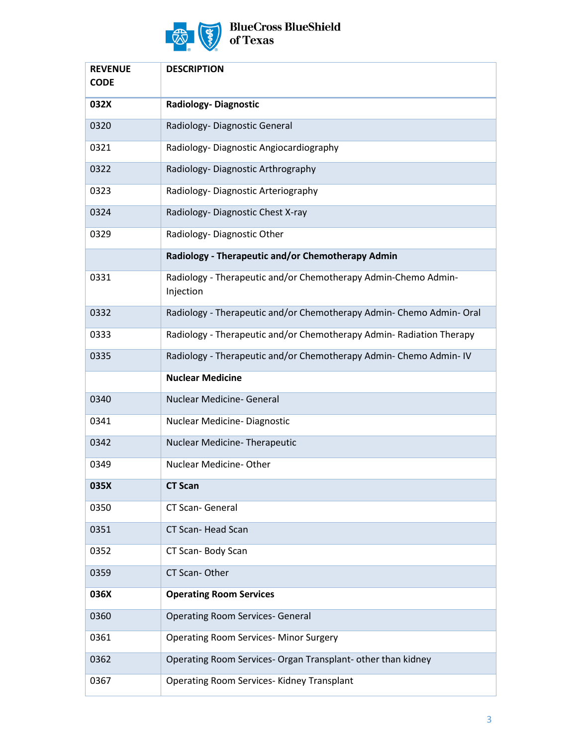

BlueCross BlueShield<br>of Texas

| <b>REVENUE</b><br><b>CODE</b> | <b>DESCRIPTION</b>                                                          |  |  |  |  |  |
|-------------------------------|-----------------------------------------------------------------------------|--|--|--|--|--|
| 032X                          | <b>Radiology-Diagnostic</b>                                                 |  |  |  |  |  |
| 0320                          | Radiology- Diagnostic General                                               |  |  |  |  |  |
| 0321                          | Radiology-Diagnostic Angiocardiography                                      |  |  |  |  |  |
| 0322                          | Radiology- Diagnostic Arthrography                                          |  |  |  |  |  |
| 0323                          | Radiology- Diagnostic Arteriography                                         |  |  |  |  |  |
| 0324                          | Radiology- Diagnostic Chest X-ray                                           |  |  |  |  |  |
| 0329                          | Radiology-Diagnostic Other                                                  |  |  |  |  |  |
|                               | Radiology - Therapeutic and/or Chemotherapy Admin                           |  |  |  |  |  |
| 0331                          | Radiology - Therapeutic and/or Chemotherapy Admin-Chemo Admin-<br>Injection |  |  |  |  |  |
| 0332                          | Radiology - Therapeutic and/or Chemotherapy Admin- Chemo Admin- Oral        |  |  |  |  |  |
| 0333                          | Radiology - Therapeutic and/or Chemotherapy Admin- Radiation Therapy        |  |  |  |  |  |
| 0335                          | Radiology - Therapeutic and/or Chemotherapy Admin- Chemo Admin-IV           |  |  |  |  |  |
|                               | <b>Nuclear Medicine</b>                                                     |  |  |  |  |  |
| 0340                          | Nuclear Medicine- General                                                   |  |  |  |  |  |
| 0341                          | Nuclear Medicine-Diagnostic                                                 |  |  |  |  |  |
| 0342                          | Nuclear Medicine-Therapeutic                                                |  |  |  |  |  |
| 0349                          | Nuclear Medicine-Other                                                      |  |  |  |  |  |
| 035X                          | <b>CT Scan</b>                                                              |  |  |  |  |  |
| 0350                          | CT Scan- General                                                            |  |  |  |  |  |
| 0351                          | CT Scan-Head Scan                                                           |  |  |  |  |  |
| 0352                          | CT Scan-Body Scan                                                           |  |  |  |  |  |
| 0359                          | CT Scan-Other                                                               |  |  |  |  |  |
| 036X                          | <b>Operating Room Services</b>                                              |  |  |  |  |  |
| 0360                          | <b>Operating Room Services- General</b>                                     |  |  |  |  |  |
| 0361                          | <b>Operating Room Services- Minor Surgery</b>                               |  |  |  |  |  |
| 0362                          | Operating Room Services- Organ Transplant- other than kidney                |  |  |  |  |  |
| 0367                          | <b>Operating Room Services-Kidney Transplant</b>                            |  |  |  |  |  |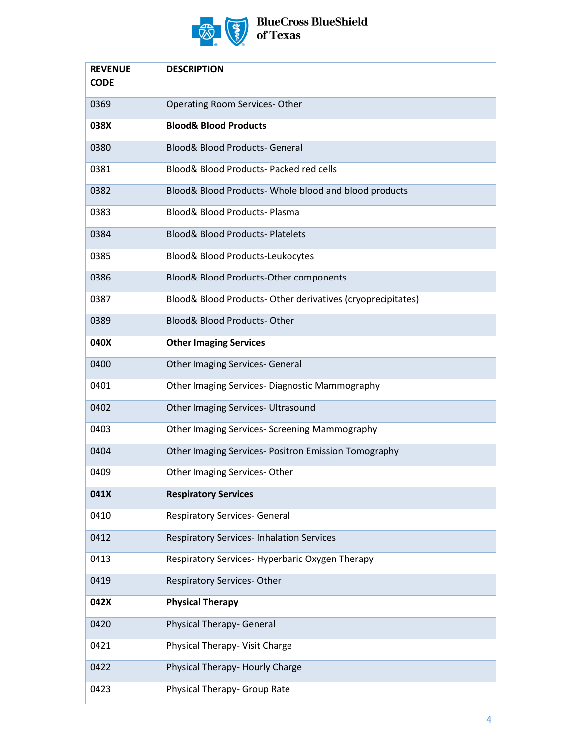

# BlueCross BlueShield<br>of Texas

| <b>REVENUE</b><br><b>CODE</b> | <b>DESCRIPTION</b>                                          |  |  |  |  |
|-------------------------------|-------------------------------------------------------------|--|--|--|--|
| 0369                          | <b>Operating Room Services-Other</b>                        |  |  |  |  |
| 038X                          | <b>Blood&amp; Blood Products</b>                            |  |  |  |  |
| 0380                          | <b>Blood&amp; Blood Products- General</b>                   |  |  |  |  |
| 0381                          | Blood& Blood Products- Packed red cells                     |  |  |  |  |
| 0382                          | Blood& Blood Products- Whole blood and blood products       |  |  |  |  |
| 0383                          | <b>Blood&amp; Blood Products- Plasma</b>                    |  |  |  |  |
| 0384                          | <b>Blood&amp; Blood Products- Platelets</b>                 |  |  |  |  |
| 0385                          | Blood& Blood Products-Leukocytes                            |  |  |  |  |
| 0386                          | Blood& Blood Products-Other components                      |  |  |  |  |
| 0387                          | Blood& Blood Products- Other derivatives (cryoprecipitates) |  |  |  |  |
| 0389                          | <b>Blood&amp; Blood Products- Other</b>                     |  |  |  |  |
| 040X                          | <b>Other Imaging Services</b>                               |  |  |  |  |
| 0400                          | <b>Other Imaging Services- General</b>                      |  |  |  |  |
| 0401                          | Other Imaging Services- Diagnostic Mammography              |  |  |  |  |
| 0402                          | Other Imaging Services- Ultrasound                          |  |  |  |  |
| 0403                          | Other Imaging Services- Screening Mammography               |  |  |  |  |
| 0404                          | Other Imaging Services- Positron Emission Tomography        |  |  |  |  |
| 0409                          | Other Imaging Services-Other                                |  |  |  |  |
| 041X                          | <b>Respiratory Services</b>                                 |  |  |  |  |
| 0410                          | <b>Respiratory Services- General</b>                        |  |  |  |  |
| 0412                          | Respiratory Services- Inhalation Services                   |  |  |  |  |
| 0413                          | Respiratory Services- Hyperbaric Oxygen Therapy             |  |  |  |  |
| 0419                          | Respiratory Services-Other                                  |  |  |  |  |
| 042X                          | <b>Physical Therapy</b>                                     |  |  |  |  |
| 0420                          | Physical Therapy- General                                   |  |  |  |  |
| 0421                          | Physical Therapy- Visit Charge                              |  |  |  |  |
| 0422                          | Physical Therapy- Hourly Charge                             |  |  |  |  |
| 0423                          | Physical Therapy- Group Rate                                |  |  |  |  |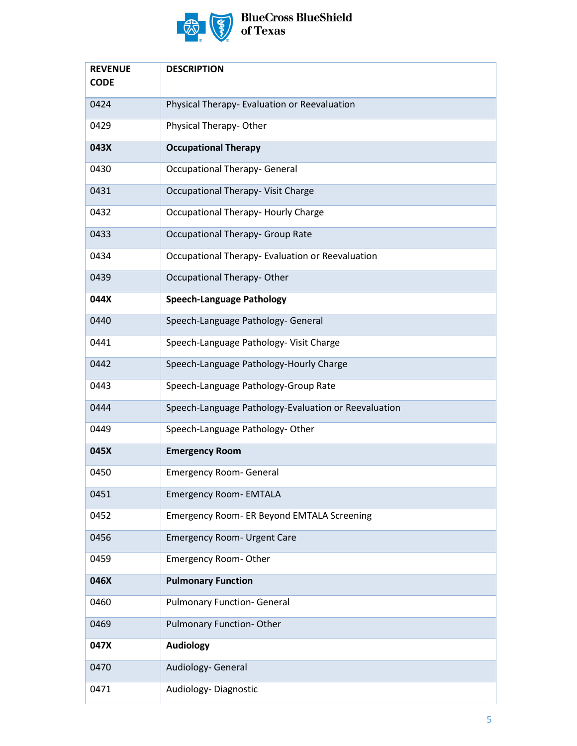

| <b>REVENUE</b><br><b>CODE</b> | <b>DESCRIPTION</b>                                   |
|-------------------------------|------------------------------------------------------|
| 0424                          | Physical Therapy- Evaluation or Reevaluation         |
| 0429                          | Physical Therapy-Other                               |
| 043X                          | <b>Occupational Therapy</b>                          |
| 0430                          | <b>Occupational Therapy- General</b>                 |
| 0431                          | Occupational Therapy- Visit Charge                   |
| 0432                          | Occupational Therapy- Hourly Charge                  |
| 0433                          | Occupational Therapy- Group Rate                     |
| 0434                          | Occupational Therapy- Evaluation or Reevaluation     |
| 0439                          | Occupational Therapy-Other                           |
| 044X                          | <b>Speech-Language Pathology</b>                     |
| 0440                          | Speech-Language Pathology- General                   |
| 0441                          | Speech-Language Pathology- Visit Charge              |
| 0442                          | Speech-Language Pathology-Hourly Charge              |
| 0443                          | Speech-Language Pathology-Group Rate                 |
| 0444                          | Speech-Language Pathology-Evaluation or Reevaluation |
| 0449                          | Speech-Language Pathology-Other                      |
| 045X                          | <b>Emergency Room</b>                                |
| 0450                          | <b>Emergency Room- General</b>                       |
| 0451                          | <b>Emergency Room- EMTALA</b>                        |
| 0452                          | <b>Emergency Room- ER Beyond EMTALA Screening</b>    |
| 0456                          | <b>Emergency Room- Urgent Care</b>                   |
| 0459                          | <b>Emergency Room-Other</b>                          |
| 046X                          | <b>Pulmonary Function</b>                            |
| 0460                          | <b>Pulmonary Function- General</b>                   |
| 0469                          | <b>Pulmonary Function-Other</b>                      |
| 047X                          | <b>Audiology</b>                                     |
| 0470                          | Audiology- General                                   |
| 0471                          | Audiology-Diagnostic                                 |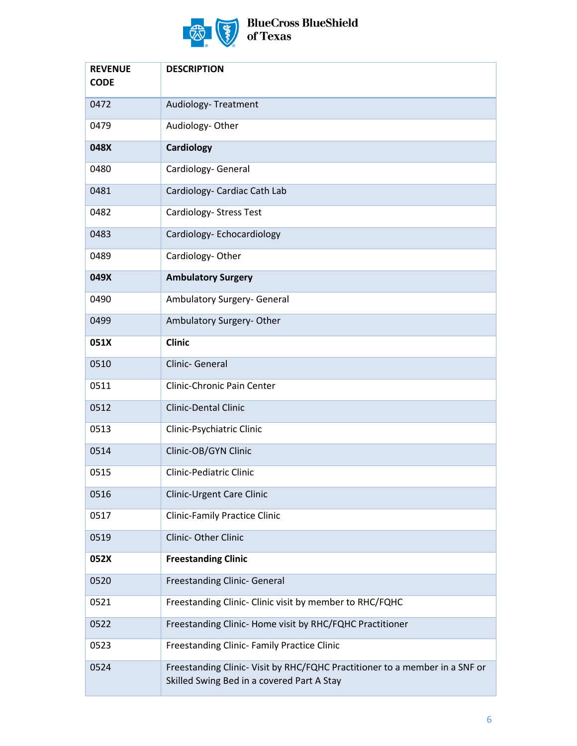

| <b>REVENUE</b><br><b>CODE</b> | <b>DESCRIPTION</b>                                                                                                        |
|-------------------------------|---------------------------------------------------------------------------------------------------------------------------|
| 0472                          | Audiology-Treatment                                                                                                       |
| 0479                          | Audiology-Other                                                                                                           |
| 048X                          | <b>Cardiology</b>                                                                                                         |
| 0480                          | Cardiology- General                                                                                                       |
| 0481                          | Cardiology- Cardiac Cath Lab                                                                                              |
| 0482                          | Cardiology- Stress Test                                                                                                   |
| 0483                          | Cardiology-Echocardiology                                                                                                 |
| 0489                          | Cardiology-Other                                                                                                          |
| 049X                          | <b>Ambulatory Surgery</b>                                                                                                 |
| 0490                          | Ambulatory Surgery- General                                                                                               |
| 0499                          | Ambulatory Surgery-Other                                                                                                  |
| 051X                          | <b>Clinic</b>                                                                                                             |
| 0510                          | Clinic- General                                                                                                           |
| 0511                          | Clinic-Chronic Pain Center                                                                                                |
| 0512                          | <b>Clinic-Dental Clinic</b>                                                                                               |
| 0513                          | Clinic-Psychiatric Clinic                                                                                                 |
| 0514                          | Clinic-OB/GYN Clinic                                                                                                      |
| 0515                          | <b>Clinic-Pediatric Clinic</b>                                                                                            |
| 0516                          | <b>Clinic-Urgent Care Clinic</b>                                                                                          |
| 0517                          | <b>Clinic-Family Practice Clinic</b>                                                                                      |
| 0519                          | Clinic- Other Clinic                                                                                                      |
| 052X                          | <b>Freestanding Clinic</b>                                                                                                |
| 0520                          | <b>Freestanding Clinic- General</b>                                                                                       |
| 0521                          | Freestanding Clinic- Clinic visit by member to RHC/FQHC                                                                   |
| 0522                          | Freestanding Clinic- Home visit by RHC/FQHC Practitioner                                                                  |
| 0523                          | Freestanding Clinic- Family Practice Clinic                                                                               |
| 0524                          | Freestanding Clinic- Visit by RHC/FQHC Practitioner to a member in a SNF or<br>Skilled Swing Bed in a covered Part A Stay |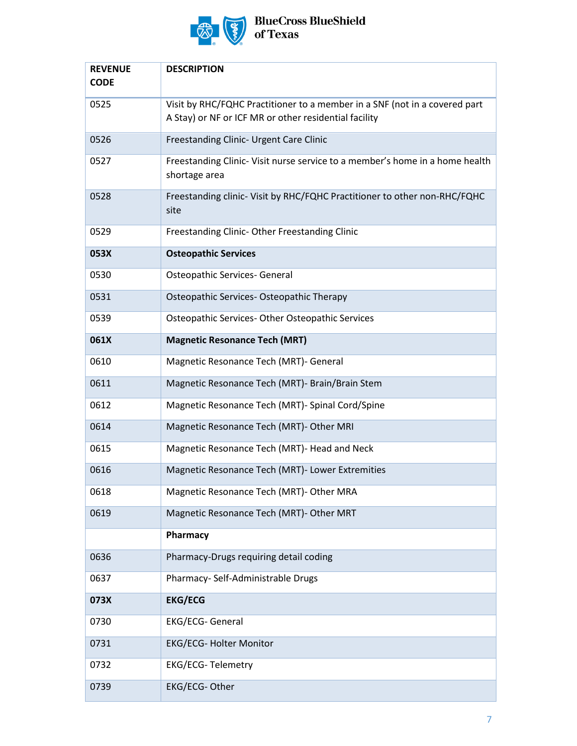

| <b>REVENUE</b><br><b>CODE</b> | <b>DESCRIPTION</b>                                                                                                                  |
|-------------------------------|-------------------------------------------------------------------------------------------------------------------------------------|
| 0525                          | Visit by RHC/FQHC Practitioner to a member in a SNF (not in a covered part<br>A Stay) or NF or ICF MR or other residential facility |
| 0526                          | Freestanding Clinic- Urgent Care Clinic                                                                                             |
| 0527                          | Freestanding Clinic-Visit nurse service to a member's home in a home health<br>shortage area                                        |
| 0528                          | Freestanding clinic- Visit by RHC/FQHC Practitioner to other non-RHC/FQHC<br>site                                                   |
| 0529                          | Freestanding Clinic- Other Freestanding Clinic                                                                                      |
| 053X                          | <b>Osteopathic Services</b>                                                                                                         |
| 0530                          | Osteopathic Services- General                                                                                                       |
| 0531                          | Osteopathic Services- Osteopathic Therapy                                                                                           |
| 0539                          | Osteopathic Services- Other Osteopathic Services                                                                                    |
| 061X                          | <b>Magnetic Resonance Tech (MRT)</b>                                                                                                |
| 0610                          | Magnetic Resonance Tech (MRT)- General                                                                                              |
| 0611                          | Magnetic Resonance Tech (MRT)- Brain/Brain Stem                                                                                     |
| 0612                          | Magnetic Resonance Tech (MRT)- Spinal Cord/Spine                                                                                    |
| 0614                          | Magnetic Resonance Tech (MRT)- Other MRI                                                                                            |
| 0615                          | Magnetic Resonance Tech (MRT)- Head and Neck                                                                                        |
| 0616                          | Magnetic Resonance Tech (MRT)- Lower Extremities                                                                                    |
| 0618                          | Magnetic Resonance Tech (MRT)- Other MRA                                                                                            |
| 0619                          | Magnetic Resonance Tech (MRT)- Other MRT                                                                                            |
|                               | Pharmacy                                                                                                                            |
| 0636                          | Pharmacy-Drugs requiring detail coding                                                                                              |
| 0637                          | Pharmacy- Self-Administrable Drugs                                                                                                  |
| 073X                          | <b>EKG/ECG</b>                                                                                                                      |
| 0730                          | <b>EKG/ECG- General</b>                                                                                                             |
| 0731                          | <b>EKG/ECG- Holter Monitor</b>                                                                                                      |
| 0732                          | <b>EKG/ECG-Telemetry</b>                                                                                                            |
| 0739                          | EKG/ECG- Other                                                                                                                      |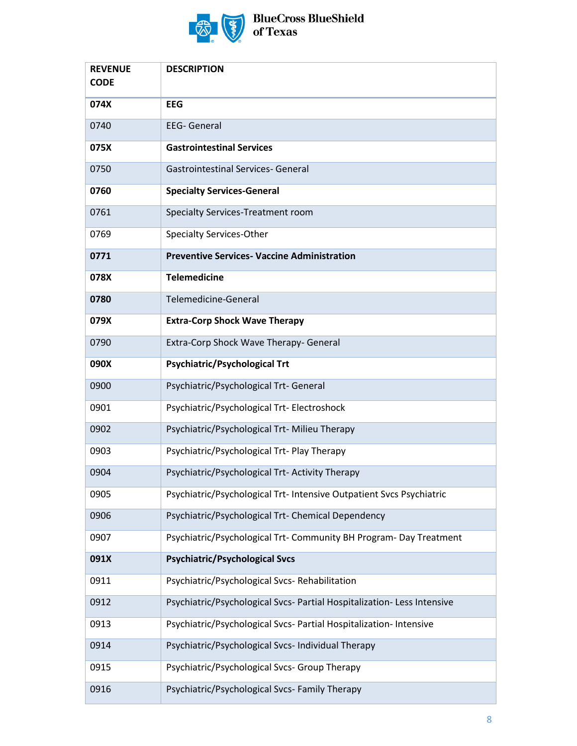

| <b>REVENUE</b><br><b>CODE</b> | <b>DESCRIPTION</b>                                                      |
|-------------------------------|-------------------------------------------------------------------------|
| 074X                          | <b>EEG</b>                                                              |
| 0740                          | <b>EEG- General</b>                                                     |
| 075X                          | <b>Gastrointestinal Services</b>                                        |
| 0750                          | <b>Gastrointestinal Services- General</b>                               |
| 0760                          | <b>Specialty Services-General</b>                                       |
| 0761                          | Specialty Services-Treatment room                                       |
| 0769                          | <b>Specialty Services-Other</b>                                         |
| 0771                          | <b>Preventive Services- Vaccine Administration</b>                      |
| 078X                          | <b>Telemedicine</b>                                                     |
| 0780                          | Telemedicine-General                                                    |
| 079X                          | <b>Extra-Corp Shock Wave Therapy</b>                                    |
| 0790                          | Extra-Corp Shock Wave Therapy- General                                  |
| 090X                          | <b>Psychiatric/Psychological Trt</b>                                    |
| 0900                          | Psychiatric/Psychological Trt- General                                  |
| 0901                          | Psychiatric/Psychological Trt- Electroshock                             |
| 0902                          | Psychiatric/Psychological Trt- Milieu Therapy                           |
| 0903                          | Psychiatric/Psychological Trt- Play Therapy                             |
| 0904                          | Psychiatric/Psychological Trt- Activity Therapy                         |
| 0905                          | Psychiatric/Psychological Trt- Intensive Outpatient Svcs Psychiatric    |
| 0906                          | Psychiatric/Psychological Trt- Chemical Dependency                      |
| 0907                          | Psychiatric/Psychological Trt- Community BH Program- Day Treatment      |
| 091X                          | <b>Psychiatric/Psychological Svcs</b>                                   |
| 0911                          | Psychiatric/Psychological Svcs-Rehabilitation                           |
| 0912                          | Psychiatric/Psychological Svcs- Partial Hospitalization- Less Intensive |
| 0913                          | Psychiatric/Psychological Svcs- Partial Hospitalization- Intensive      |
| 0914                          | Psychiatric/Psychological Svcs- Individual Therapy                      |
| 0915                          | Psychiatric/Psychological Svcs- Group Therapy                           |
| 0916                          | Psychiatric/Psychological Svcs- Family Therapy                          |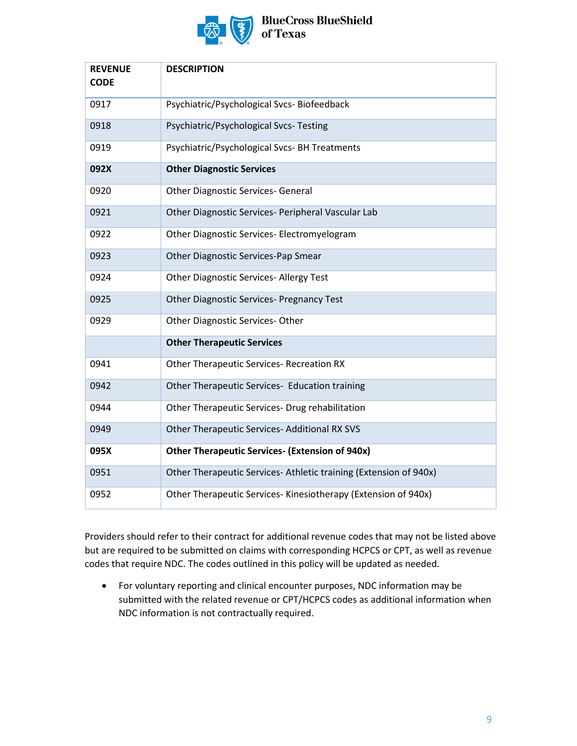

# BlueCross BlueShield<br>of Texas

| <b>REVENUE</b><br><b>CODE</b> | <b>DESCRIPTION</b>                                               |  |  |  |  |  |
|-------------------------------|------------------------------------------------------------------|--|--|--|--|--|
| 0917                          | Psychiatric/Psychological Svcs-Biofeedback                       |  |  |  |  |  |
| 0918                          | Psychiatric/Psychological Svcs-Testing                           |  |  |  |  |  |
| 0919                          | Psychiatric/Psychological Svcs- BH Treatments                    |  |  |  |  |  |
| 092X                          | <b>Other Diagnostic Services</b>                                 |  |  |  |  |  |
| 0920                          | <b>Other Diagnostic Services- General</b>                        |  |  |  |  |  |
| 0921                          | Other Diagnostic Services- Peripheral Vascular Lab               |  |  |  |  |  |
| 0922                          | Other Diagnostic Services- Electromyelogram                      |  |  |  |  |  |
| 0923                          | Other Diagnostic Services-Pap Smear                              |  |  |  |  |  |
| 0924                          | Other Diagnostic Services- Allergy Test                          |  |  |  |  |  |
| 0925                          | <b>Other Diagnostic Services- Pregnancy Test</b>                 |  |  |  |  |  |
| 0929                          | Other Diagnostic Services-Other                                  |  |  |  |  |  |
|                               | <b>Other Therapeutic Services</b>                                |  |  |  |  |  |
| 0941                          | <b>Other Therapeutic Services- Recreation RX</b>                 |  |  |  |  |  |
| 0942                          | Other Therapeutic Services- Education training                   |  |  |  |  |  |
| 0944                          | Other Therapeutic Services- Drug rehabilitation                  |  |  |  |  |  |
| 0949                          | Other Therapeutic Services- Additional RX SVS                    |  |  |  |  |  |
| 095X                          | <b>Other Therapeutic Services- (Extension of 940x)</b>           |  |  |  |  |  |
| 0951                          | Other Therapeutic Services-Athletic training (Extension of 940x) |  |  |  |  |  |
| 0952                          | Other Therapeutic Services-Kinesiotherapy (Extension of 940x)    |  |  |  |  |  |

Providers should refer to their contract for additional revenue codes that may not be listed above but are required to be submitted on claims with corresponding HCPCS or CPT, as well as revenue codes that require NDC. The codes outlined in this policy will be updated as needed.

• For voluntary reporting and clinical encounter purposes, NDC information may be submitted with the related revenue or CPT/HCPCS codes as additional information when NDC information is not contractually required.